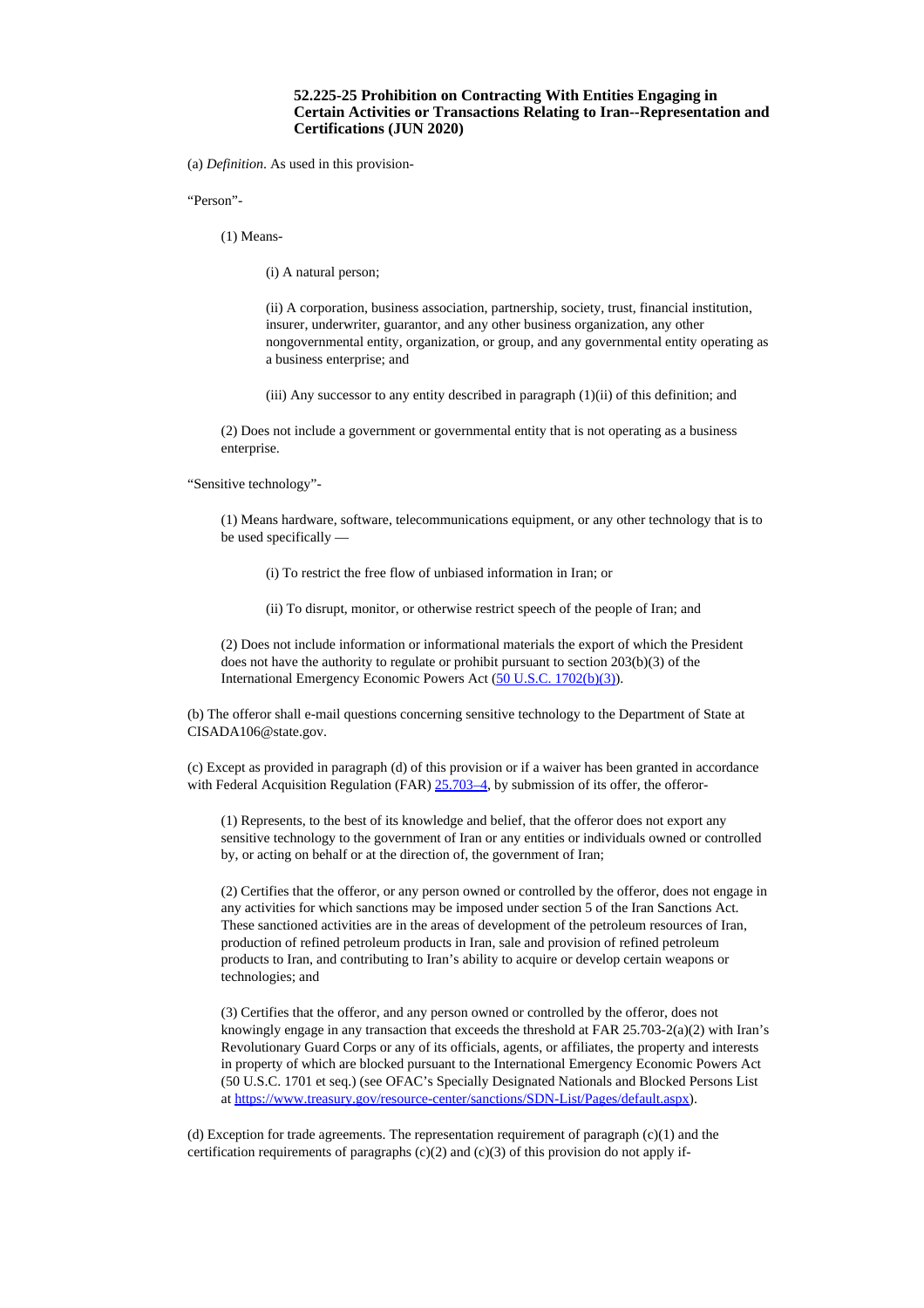## **52.225-25 Prohibition on Contracting With Entities Engaging in Certain Activities or Transactions Relating to Iran--Representation and Certifications (JUN 2020)**

(a) *Definition*. As used in this provision-

"Person"-

(1) Means-

(i) A natural person;

(ii) A corporation, business association, partnership, society, trust, financial institution, insurer, underwriter, guarantor, and any other business organization, any other nongovernmental entity, organization, or group, and any governmental entity operating as a business enterprise; and

(iii) Any successor to any entity described in paragraph (1)(ii) of this definition; and

(2) Does not include a government or governmental entity that is not operating as a business enterprise.

"Sensitive technology"-

(1) Means hardware, software, telecommunications equipment, or any other technology that is to be used specifically —

(i) To restrict the free flow of unbiased information in Iran; or

(ii) To disrupt, monitor, or otherwise restrict speech of the people of Iran; and

(2) Does not include information or informational materials the export of which the President does not have the authority to regulate or prohibit pursuant to section 203(b)(3) of the International Emergency Economic Powers Act (50 U.S.C. [1702\(b\)\(3\)](http://uscode.house.gov/uscode-cgi/fastweb.exe?getdoc+uscview+t13t16+492+90++%2815%29%20%20AND%20%28%2815%29%20ADJ%20USC%29%3ACITE%20%20%20%20%20%20%20%20%20)).

(b) The offeror shall e-mail questions concerning sensitive technology to the Department of State at CISADA106@state.gov.

(c) Except as provided in paragraph (d) of this provision or if a waiver has been granted in accordance with Federal Acquisition Regulation (FAR) [25.703–4,](https://www.acquisition.gov/far/current/html/Subpart%2025_7.html#wp1077997) by submission of its offer, the offeror-

(1) Represents, to the best of its knowledge and belief, that the offeror does not export any sensitive technology to the government of Iran or any entities or individuals owned or controlled by, or acting on behalf or at the direction of, the government of Iran;

(2) Certifies that the offeror, or any person owned or controlled by the offeror, does not engage in any activities for which sanctions may be imposed under section 5 of the Iran Sanctions Act. These sanctioned activities are in the areas of development of the petroleum resources of Iran, production of refined petroleum products in Iran, sale and provision of refined petroleum products to Iran, and contributing to Iran's ability to acquire or develop certain weapons or technologies; and

(3) Certifies that the offeror, and any person owned or controlled by the offeror, does not knowingly engage in any transaction that exceeds the threshold at FAR  $25.703-2(a)(2)$  with Iran's Revolutionary Guard Corps or any of its officials, agents, or affiliates, the property and interests in property of which are blocked pursuant to the International Emergency Economic Powers Act (50 U.S.C. 1701 et seq.) (see OFAC's Specially Designated Nationals and Blocked Persons List at [https://www.treasury.gov/resource-center/sanctions/SDN-List/Pages/default.aspx\)](https://www.treasury.gov/resource-center/sanctions/SDN-List/Pages/default.aspx).

(d) Exception for trade agreements. The representation requirement of paragraph  $(c)(1)$  and the certification requirements of paragraphs  $(c)(2)$  and  $(c)(3)$  of this provision do not apply if